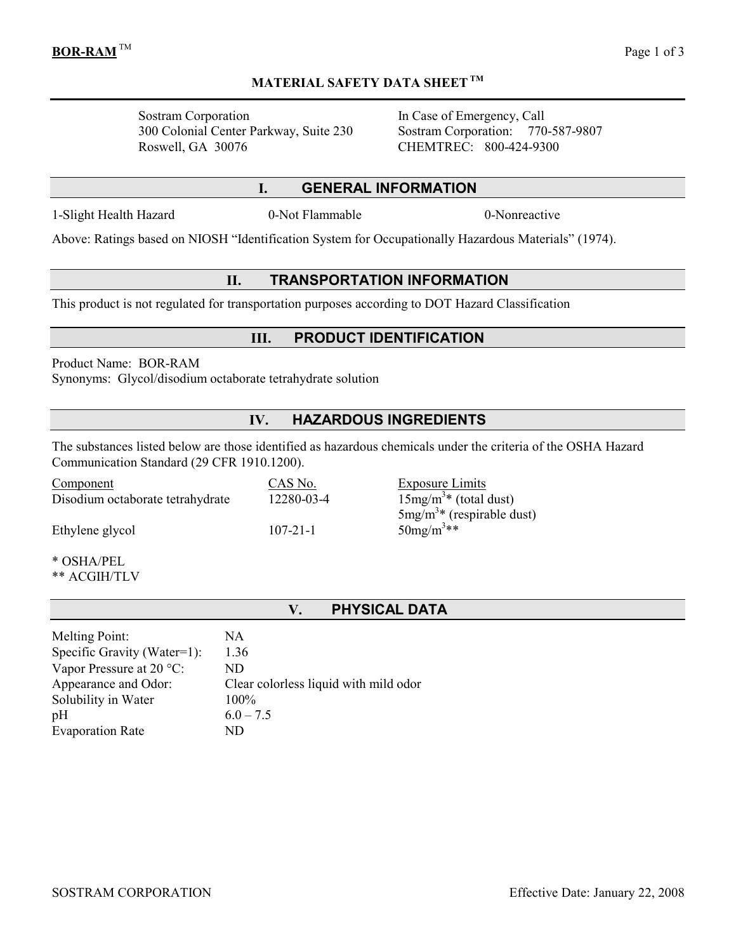Sostram Corporation In Case of Emergency, Call 300 Colonial Center Parkway, Suite 230 Sostram Corporation: 770-587-9807 Roswell, GA 30076 CHEMTREC: 800-424-9300

#### I. GENERAL INFORMATION

MATERIAL SAFETY DATA SHEET TM

1-Slight Health Hazard 0-Not Flammable 0-Nonreactive

Above: Ratings based on NIOSH "Identification System for Occupationally Hazardous Materials" (1974).

### II. TRANSPORTATION INFORMATION

This product is not regulated for transportation purposes according to DOT Hazard Classification

#### III. PRODUCT IDENTIFICATION

Product Name: BOR-RAM Synonyms: Glycol/disodium octaborate tetrahydrate solution

# IV. HAZARDOUS INGREDIENTS

The substances listed below are those identified as hazardous chemicals under the criteria of the OSHA Hazard Communication Standard (29 CFR 1910.1200).

| Component                        | CAS No.        | <b>Exposure Limits</b>     |
|----------------------------------|----------------|----------------------------|
| Disodium octaborate tetrahydrate | 12280-03-4     | $15mg/m3$ (total dust)     |
|                                  |                | $5mg/m3$ (respirable dust) |
| Ethylene glycol                  | $107 - 21 - 1$ | $50mg/m^3**$               |
|                                  |                |                            |

\* OSHA/PEL

\*\* ACGIH/TLV

### V. PHYSICAL DATA

| <b>Melting Point:</b>             | NA                                    |
|-----------------------------------|---------------------------------------|
| Specific Gravity (Water=1):       | 1.36                                  |
| Vapor Pressure at $20^{\circ}$ C: | ND                                    |
| Appearance and Odor:              | Clear colorless liquid with mild odor |
| Solubility in Water               | 100%                                  |
| pН                                | $6.0 - 7.5$                           |
| <b>Evaporation Rate</b>           | ND                                    |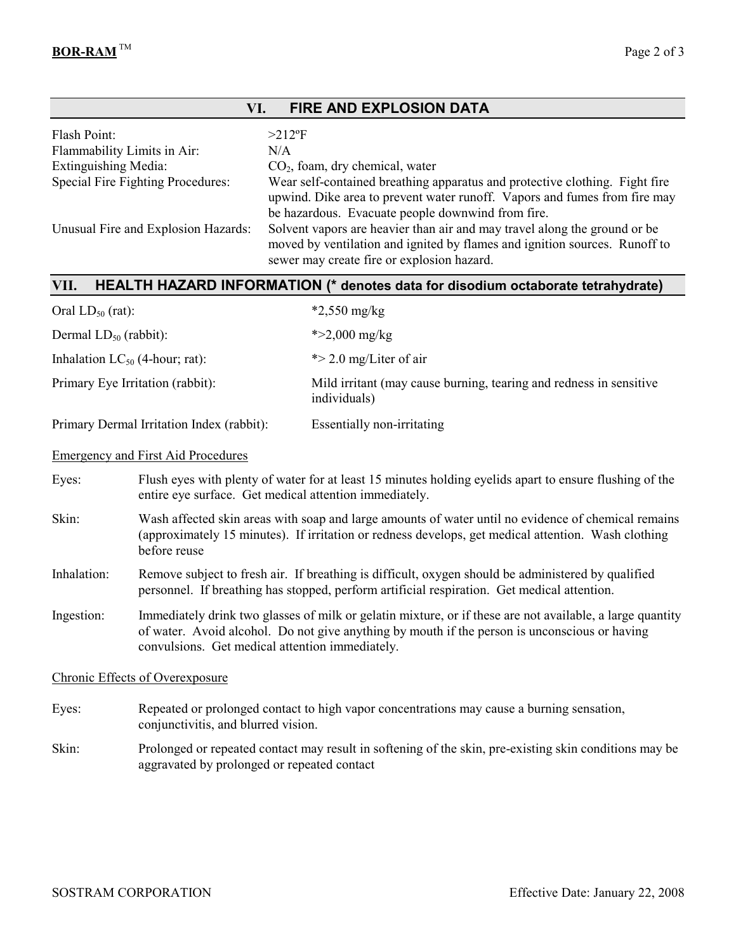| <b>FIRE AND EXPLOSION DATA</b><br>VI.                                                                                                                                                                                                                                       |                                                                                                                                                                                                                            |                                                                                                                                                                                                                                                                                                                                                                                                                                                                                 |  |
|-----------------------------------------------------------------------------------------------------------------------------------------------------------------------------------------------------------------------------------------------------------------------------|----------------------------------------------------------------------------------------------------------------------------------------------------------------------------------------------------------------------------|---------------------------------------------------------------------------------------------------------------------------------------------------------------------------------------------------------------------------------------------------------------------------------------------------------------------------------------------------------------------------------------------------------------------------------------------------------------------------------|--|
| Flash Point:<br>Flammability Limits in Air:<br><b>Extinguishing Media:</b>                                                                                                                                                                                                  | Special Fire Fighting Procedures:<br>Unusual Fire and Explosion Hazards:                                                                                                                                                   | $>212$ °F<br>N/A<br>$CO2$ , foam, dry chemical, water<br>Wear self-contained breathing apparatus and protective clothing. Fight fire<br>upwind. Dike area to prevent water runoff. Vapors and fumes from fire may<br>be hazardous. Evacuate people downwind from fire.<br>Solvent vapors are heavier than air and may travel along the ground or be<br>moved by ventilation and ignited by flames and ignition sources. Runoff to<br>sewer may create fire or explosion hazard. |  |
| VII.                                                                                                                                                                                                                                                                        |                                                                                                                                                                                                                            | HEALTH HAZARD INFORMATION (* denotes data for disodium octaborate tetrahydrate)                                                                                                                                                                                                                                                                                                                                                                                                 |  |
| Oral $LD_{50}$ (rat):                                                                                                                                                                                                                                                       |                                                                                                                                                                                                                            | $*2,550$ mg/kg                                                                                                                                                                                                                                                                                                                                                                                                                                                                  |  |
| Dermal $LD_{50}$ (rabbit):                                                                                                                                                                                                                                                  |                                                                                                                                                                                                                            | * $>2,000$ mg/kg                                                                                                                                                                                                                                                                                                                                                                                                                                                                |  |
| Inhalation $LC_{50}$ (4-hour; rat):                                                                                                                                                                                                                                         |                                                                                                                                                                                                                            | $\ast$ > 2.0 mg/Liter of air                                                                                                                                                                                                                                                                                                                                                                                                                                                    |  |
|                                                                                                                                                                                                                                                                             | Primary Eye Irritation (rabbit):                                                                                                                                                                                           | Mild irritant (may cause burning, tearing and redness in sensitive<br>individuals)                                                                                                                                                                                                                                                                                                                                                                                              |  |
|                                                                                                                                                                                                                                                                             | Primary Dermal Irritation Index (rabbit):                                                                                                                                                                                  | Essentially non-irritating                                                                                                                                                                                                                                                                                                                                                                                                                                                      |  |
|                                                                                                                                                                                                                                                                             | <b>Emergency and First Aid Procedures</b>                                                                                                                                                                                  |                                                                                                                                                                                                                                                                                                                                                                                                                                                                                 |  |
| Eyes:                                                                                                                                                                                                                                                                       | Flush eyes with plenty of water for at least 15 minutes holding eyelids apart to ensure flushing of the<br>entire eye surface. Get medical attention immediately.                                                          |                                                                                                                                                                                                                                                                                                                                                                                                                                                                                 |  |
| Skin:                                                                                                                                                                                                                                                                       | Wash affected skin areas with soap and large amounts of water until no evidence of chemical remains<br>(approximately 15 minutes). If irritation or redness develops, get medical attention. Wash clothing<br>before reuse |                                                                                                                                                                                                                                                                                                                                                                                                                                                                                 |  |
| Inhalation:                                                                                                                                                                                                                                                                 | Remove subject to fresh air. If breathing is difficult, oxygen should be administered by qualified<br>personnel. If breathing has stopped, perform artificial respiration. Get medical attention.                          |                                                                                                                                                                                                                                                                                                                                                                                                                                                                                 |  |
| Ingestion:<br>Immediately drink two glasses of milk or gelatin mixture, or if these are not available, a large quantity<br>of water. Avoid alcohol. Do not give anything by mouth if the person is unconscious or having<br>convulsions. Get medical attention immediately. |                                                                                                                                                                                                                            |                                                                                                                                                                                                                                                                                                                                                                                                                                                                                 |  |
|                                                                                                                                                                                                                                                                             | <b>Chronic Effects of Overexposure</b>                                                                                                                                                                                     |                                                                                                                                                                                                                                                                                                                                                                                                                                                                                 |  |
| Eyes:                                                                                                                                                                                                                                                                       | Repeated or prolonged contact to high vapor concentrations may cause a burning sensation,<br>conjunctivitis, and blurred vision.                                                                                           |                                                                                                                                                                                                                                                                                                                                                                                                                                                                                 |  |
| Skin:                                                                                                                                                                                                                                                                       | Prolonged or repeated contact may result in softening of the skin, pre-existing skin conditions may be<br>aggravated by prolonged or repeated contact                                                                      |                                                                                                                                                                                                                                                                                                                                                                                                                                                                                 |  |